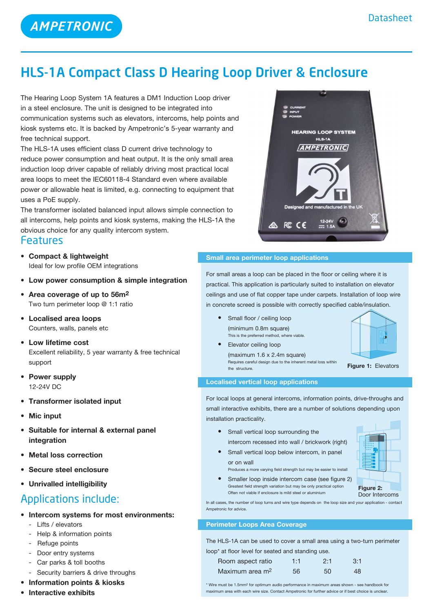

# HLS-1A Compact Class D Hearing Loop Driver & Enclosure

The Hearing Loop System 1A features a DM1 Induction Loop driver in a steel enclosure. The unit is designed to be integrated into communication systems such as elevators, intercoms, help points and kiosk systems etc. It is backed by Ampetronic's 5-year warranty and free technical support.

The HLS-1A uses efficient class D current drive technology to reduce power consumption and heat output. It is the only small area induction loop driver capable of reliably driving most practical local area loops to meet the IEC60118-4 Standard even where available power or allowable heat is limited, e.g. connecting to equipment that uses a PoE supply.

The transformer isolated balanced input allows simple connection to all intercoms, help points and kiosk systems, making the HLS-1A the obvious choice for any quality intercom system.

# Features

- **• Compact & lightweight** Ideal for low profile OEM integrations
- **• Low power consumption & simple integration**
- **• Area coverage of up to 56m2** Two turn perimeter loop @ 1:1 ratio
- **• Localised area loops** Counters, walls, panels etc
- **Low lifetime cost** Excellent reliability, 5 year warranty & free technical support
- **• Power supply** 12-24V DC
- **• Transformer isolated input**
- **• Mic input**
- **• Suitable for internal & external panel integration**
- **Metal** loss correction
- **• Secure steel enclosure**
- **• Unrivalled intelligibility**

# Applications include:

- **• Intercom systems for most environments:**
	- Lifts / elevators
	- Help & information points
	- Refuge points
	- Door entry systems
	- Car parks & toll booths
	- Security barriers & drive throughs
- **• Information points & kiosks**
- **• Interactive exhibits**



For small areas a loop can be placed in the floor or ceiling where it is practical. This application is particularly suited to installation on elevator ceilings and use of flat copper tape under carpets. Installation of loop wire in concrete screed is possible with correctly specified cable/insulation.

- **Small floor / ceiling loop**  (minimum 0.8m square) This is the preferred method, where viable.
- **•**  Elevator ceiling loop  $(maximum 1.6 x 2.4m square)$  Requires careful design due to the inherent metal loss within the structure.



## **Localised vertical loop applications**

For local loops at general intercoms, information points, drive-throughs and small interactive exhibits, there are a number of solutions depending upon installation practicality.

- **•**  Small vertical loop surrounding the intercom recessed into wall / brickwork (right)
- **•** Small vertical loop below intercom, in panel or on wall

Often not viable if enclosure is mild steel or aluminium

Produces a more varying field strength but may be easier to install • Smaller loop inside intercom case (see figure 2) Greatest field strength variation but may be only practical option



Door Intercoms

In all cases, the number of loop turns and wire type depends on the loop size and your application - contact Ampetronic for advice.

# **Perimeter Loops Area Coverage**

The HLS-1A can be used to cover a small area using a two-turn perimeter loop\* at floor level for seated and standing use.

| Room aspect ratio           | 1:1 | 2:1 | $-3:1$ |
|-----------------------------|-----|-----|--------|
| Maximum area m <sup>2</sup> | 56  | 50  | 48     |

\* Wire must be 1.5mm2 for optimum audio performance in maximum areas shown - see handbook for maximum area with each wire size. Contact Ampetronic for further advice or if best choice is unclear.